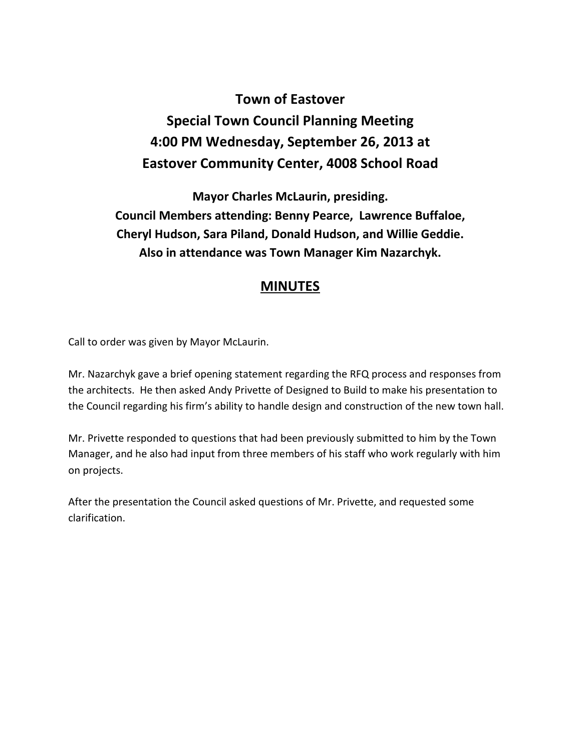## **Town of Eastover Special Town Council Planning Meeting 4:00 PM Wednesday, September 26, 2013 at Eastover Community Center, 4008 School Road**

**Mayor Charles McLaurin, presiding. Council Members attending: Benny Pearce, Lawrence Buffaloe, Cheryl Hudson, Sara Piland, Donald Hudson, and Willie Geddie. Also in attendance was Town Manager Kim Nazarchyk.** 

## **MINUTES**

Call to order was given by Mayor McLaurin.

Mr. Nazarchyk gave a brief opening statement regarding the RFQ process and responses from the architects. He then asked Andy Privette of Designed to Build to make his presentation to the Council regarding his firm's ability to handle design and construction of the new town hall.

Mr. Privette responded to questions that had been previously submitted to him by the Town Manager, and he also had input from three members of his staff who work regularly with him on projects.

After the presentation the Council asked questions of Mr. Privette, and requested some clarification.